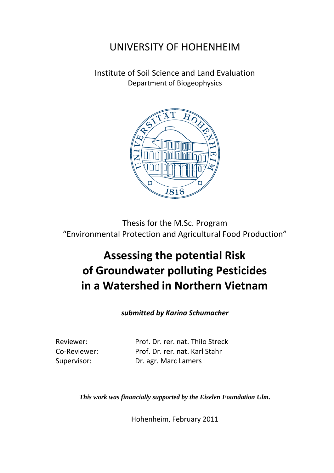## UNIVERSITY OF HOHENHEIM

Institute of Soil Science and Land Evaluation Department of Biogeophysics



Thesis for the M.Sc. Program "Environmental Protection and Agricultural Food Production"

## **Assessing the potential Risk of Groundwater polluting Pesticides in a Watershed in Northern Vietnam**

*submitted by Karina Schumacher*

Reviewer: [Prof. Dr. rer. nat. Thilo Streck](https://www.uni-hohenheim.de/67721.html?typo3state=persons&lsfid=3216&L=1) Co-Reviewer: Prof. Dr. rer. nat. Karl Stahr Supervisor: Dr. agr. Marc Lamers

*This work was financially supported by the Eiselen Foundation Ulm.*

Hohenheim, February 2011